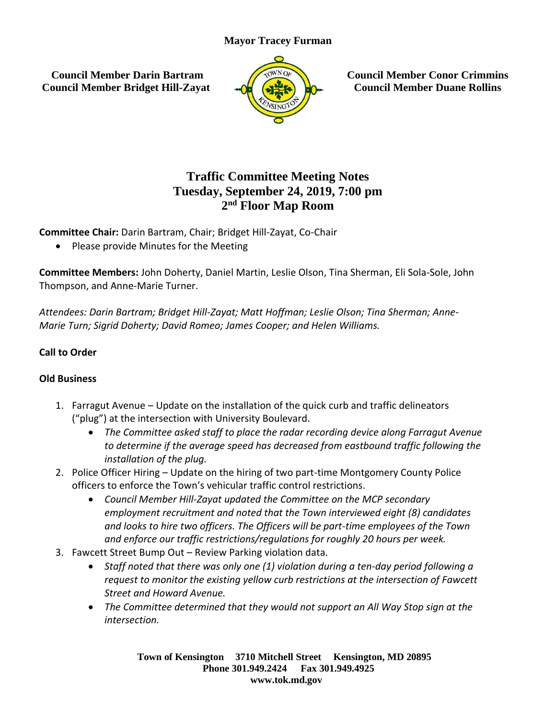## **Mayor Tracey Furman**

**Council Member Darin Bartram Council Member Bridget Hill-Zayat**



**Council Member Conor Crimmins Council Member Duane Rollins**

# **Traffic Committee Meeting Notes Tuesday, September 24, 2019, 7:00 pm 2 nd Floor Map Room**

**Committee Chair:** Darin Bartram, Chair; Bridget Hill-Zayat, Co-Chair

• Please provide Minutes for the Meeting

**Committee Members:** John Doherty, Daniel Martin, Leslie Olson, Tina Sherman, Eli Sola-Sole, John Thompson, and Anne-Marie Turner.

*Attendees: Darin Bartram; Bridget Hill-Zayat; Matt Hoffman; Leslie Olson; Tina Sherman; Anne-Marie Turn; Sigrid Doherty; David Romeo; James Cooper; and Helen Williams.* 

# **Call to Order**

#### **Old Business**

- 1. Farragut Avenue Update on the installation of the quick curb and traffic delineators ("plug") at the intersection with University Boulevard.
	- *The Committee asked staff to place the radar recording device along Farragut Avenue to determine if the average speed has decreased from eastbound traffic following the installation of the plug.*
- 2. Police Officer Hiring Update on the hiring of two part-time Montgomery County Police officers to enforce the Town's vehicular traffic control restrictions.
	- *Council Member Hill-Zayat updated the Committee on the MCP secondary employment recruitment and noted that the Town interviewed eight (8) candidates and looks to hire two officers. The Officers will be part-time employees of the Town and enforce our traffic restrictions/regulations for roughly 20 hours per week.*
- 3. Fawcett Street Bump Out Review Parking violation data.
	- *Staff noted that there was only one (1) violation during a ten-day period following a request to monitor the existing yellow curb restrictions at the intersection of Fawcett Street and Howard Avenue.*
	- *The Committee determined that they would not support an All Way Stop sign at the intersection.*

**Town of Kensington 3710 Mitchell Street Kensington, MD 20895 Phone 301.949.2424 Fax 301.949.4925 www.tok.md.gov**